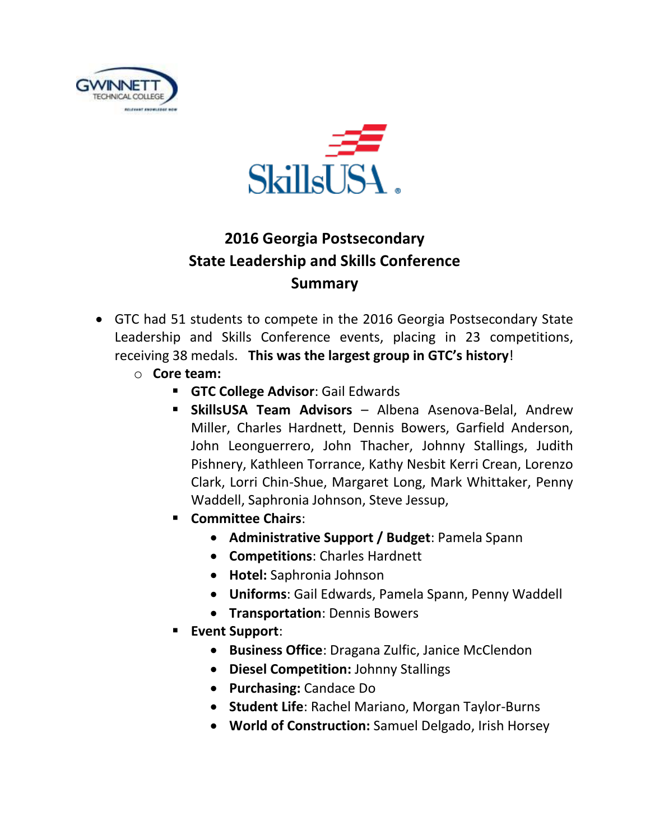



## **2016 Georgia Postsecondary State Leadership and Skills Conference Summary**

- GTC had 51 students to compete in the 2016 Georgia Postsecondary State Leadership and Skills Conference events, placing in 23 competitions, receiving 38 medals. **This was the largest group in GTC's history**!
	- o **Core team:**
		- **GTC College Advisor**: Gail Edwards
		- **SkillsUSA Team Advisors** Albena Asenova-Belal, Andrew Miller, Charles Hardnett, Dennis Bowers, Garfield Anderson, John Leonguerrero, John Thacher, Johnny Stallings, Judith Pishnery, Kathleen Torrance, Kathy Nesbit Kerri Crean, Lorenzo Clark, Lorri Chin-Shue, Margaret Long, Mark Whittaker, Penny Waddell, Saphronia Johnson, Steve Jessup,
		- **Committee Chairs**:
			- **Administrative Support / Budget**: Pamela Spann
			- **Competitions**: Charles Hardnett
			- **Hotel:** Saphronia Johnson
			- **Uniforms**: Gail Edwards, Pamela Spann, Penny Waddell
			- **Transportation**: Dennis Bowers
		- **Event Support**:
			- **Business Office**: Dragana Zulfic, Janice McClendon
			- **Diesel Competition:** Johnny Stallings
			- **Purchasing:** Candace Do
			- **Student Life**: Rachel Mariano, Morgan Taylor-Burns
			- **World of Construction:** Samuel Delgado, Irish Horsey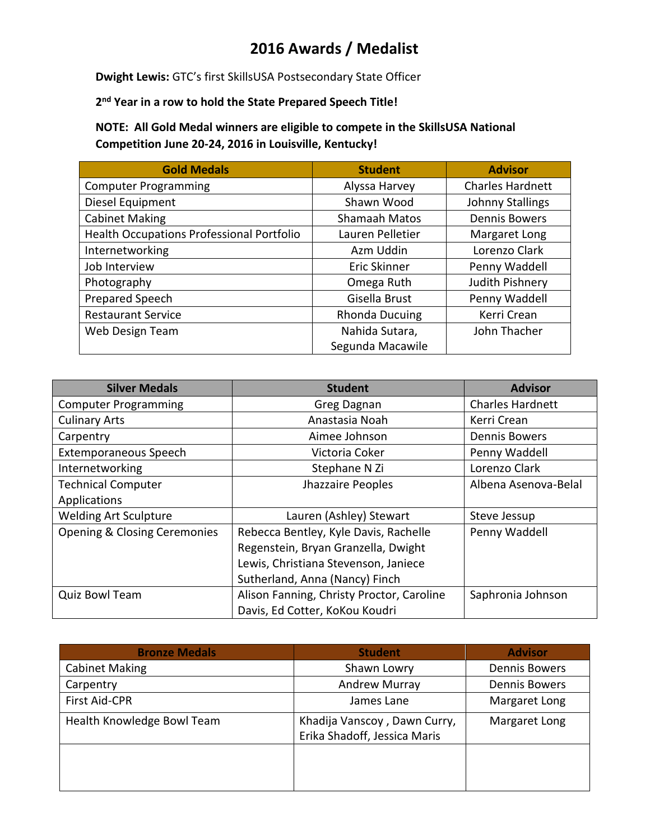## **2016 Awards / Medalist**

**Dwight Lewis:** GTC's first SkillsUSA Postsecondary State Officer

**2 nd Year in a row to hold the State Prepared Speech Title!**

**NOTE: All Gold Medal winners are eligible to compete in the SkillsUSA National Competition June 20-24, 2016 in Louisville, Kentucky!**

| <b>Gold Medals</b>                        | <b>Student</b>        | <b>Advisor</b>          |
|-------------------------------------------|-----------------------|-------------------------|
| <b>Computer Programming</b>               | Alyssa Harvey         | <b>Charles Hardnett</b> |
| Diesel Equipment                          | Shawn Wood            | <b>Johnny Stallings</b> |
| <b>Cabinet Making</b>                     | Shamaah Matos         | <b>Dennis Bowers</b>    |
| Health Occupations Professional Portfolio | Lauren Pelletier      | Margaret Long           |
| Internetworking                           | Azm Uddin             | Lorenzo Clark           |
| Job Interview                             | <b>Eric Skinner</b>   | Penny Waddell           |
| Photography                               | Omega Ruth            | Judith Pishnery         |
| Prepared Speech                           | Gisella Brust         | Penny Waddell           |
| <b>Restaurant Service</b>                 | <b>Rhonda Ducuing</b> | Kerri Crean             |
| Web Design Team                           | Nahida Sutara,        | John Thacher            |
|                                           | Segunda Macawile      |                         |

| <b>Silver Medals</b>                    | <b>Student</b>                            | <b>Advisor</b>          |
|-----------------------------------------|-------------------------------------------|-------------------------|
| <b>Computer Programming</b>             | Greg Dagnan                               | <b>Charles Hardnett</b> |
| <b>Culinary Arts</b>                    | Anastasia Noah                            | Kerri Crean             |
| Carpentry                               | Aimee Johnson                             | <b>Dennis Bowers</b>    |
| Extemporaneous Speech                   | Victoria Coker                            | Penny Waddell           |
| Internetworking                         | Stephane N Zi                             | Lorenzo Clark           |
| <b>Technical Computer</b>               | Jhazzaire Peoples                         | Albena Asenova-Belal    |
| Applications                            |                                           |                         |
| <b>Welding Art Sculpture</b>            | Lauren (Ashley) Stewart                   | Steve Jessup            |
| <b>Opening &amp; Closing Ceremonies</b> | Rebecca Bentley, Kyle Davis, Rachelle     | Penny Waddell           |
|                                         | Regenstein, Bryan Granzella, Dwight       |                         |
|                                         | Lewis, Christiana Stevenson, Janiece      |                         |
|                                         | Sutherland, Anna (Nancy) Finch            |                         |
| Quiz Bowl Team                          | Alison Fanning, Christy Proctor, Caroline | Saphronia Johnson       |
|                                         | Davis, Ed Cotter, KoKou Koudri            |                         |

| <b>Bronze Medals</b>       | <b>Student</b>                                               | <b>Advisor</b>       |
|----------------------------|--------------------------------------------------------------|----------------------|
| <b>Cabinet Making</b>      | Shawn Lowry                                                  | <b>Dennis Bowers</b> |
| Carpentry                  | <b>Andrew Murray</b>                                         | <b>Dennis Bowers</b> |
| First Aid-CPR              | James Lane                                                   | Margaret Long        |
| Health Knowledge Bowl Team | Khadija Vanscoy, Dawn Curry,<br>Erika Shadoff, Jessica Maris | Margaret Long        |
|                            |                                                              |                      |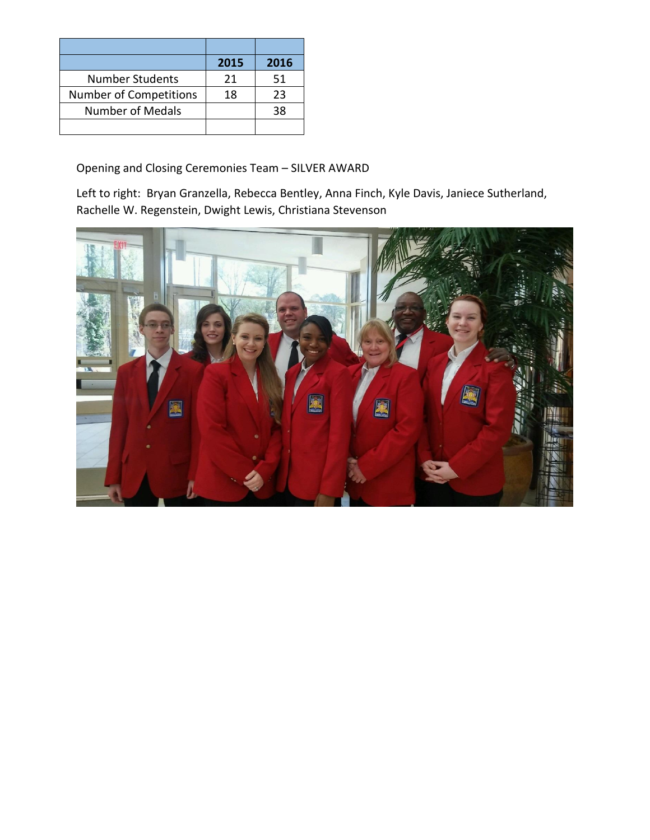|                         | 2015 | 2016 |
|-------------------------|------|------|
| <b>Number Students</b>  | 21   | 51   |
| Number of Competitions  | 18   | 23   |
| <b>Number of Medals</b> |      | 38   |
|                         |      |      |

Opening and Closing Ceremonies Team – SILVER AWARD

Left to right: Bryan Granzella, Rebecca Bentley, Anna Finch, Kyle Davis, Janiece Sutherland, Rachelle W. Regenstein, Dwight Lewis, Christiana Stevenson

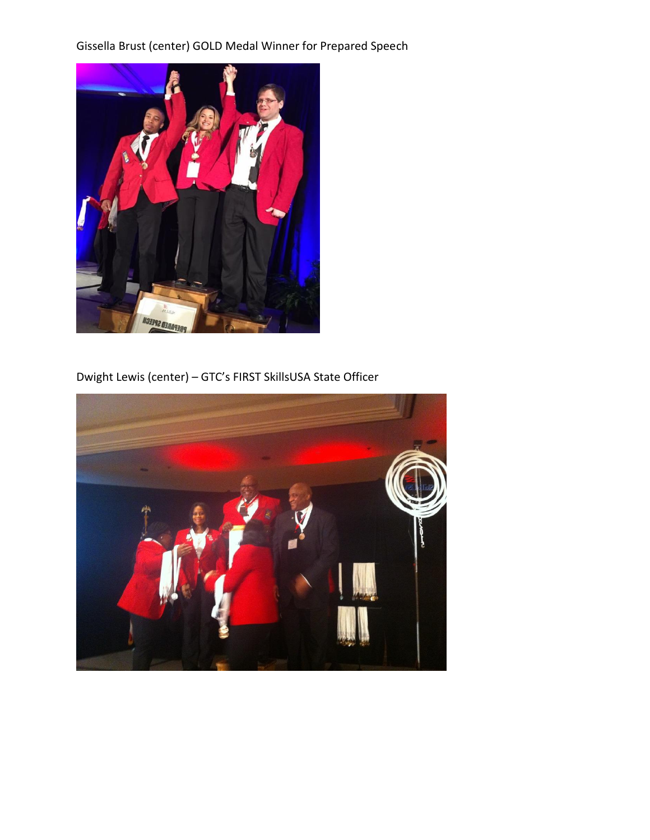Gissella Brust (center) GOLD Medal Winner for Prepared Speech



Dwight Lewis (center) – GTC's FIRST SkillsUSA State Officer

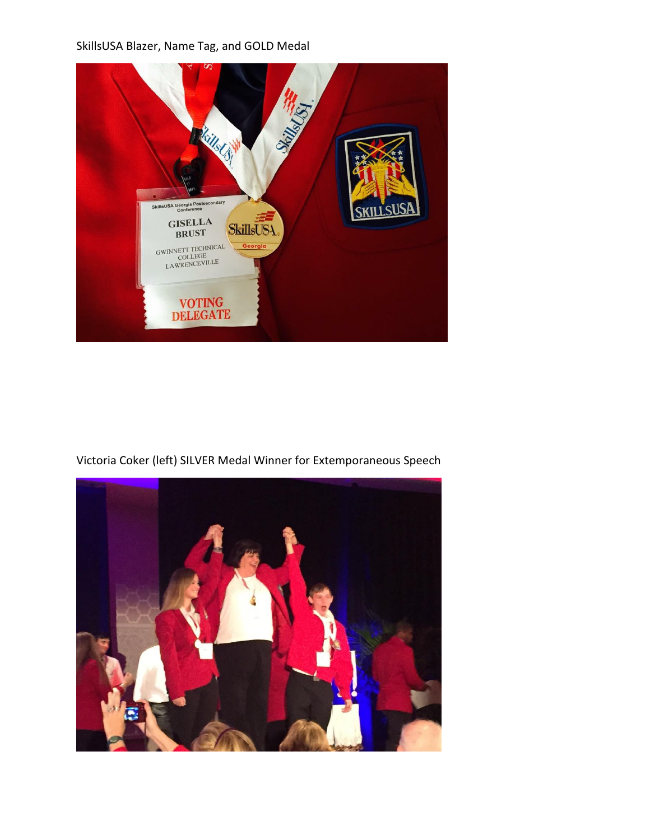SkillsUSA Blazer, Name Tag, and GOLD Medal



Victoria Coker (left) SILVER Medal Winner for Extemporaneous Speech